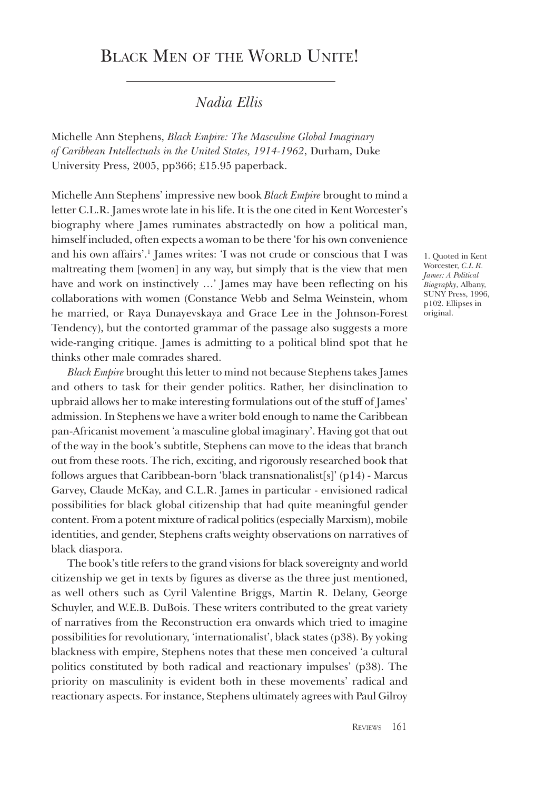# BLACK MEN OF THE WORLD UNITE!

### *Nadia Ellis*

Michelle Ann Stephens, *Black Empire: The Masculine Global Imaginary of Caribbean Intellectuals in the United States, 1914-1962*, Durham, Duke University Press, 2005, pp366; £15.95 paperback.

Michelle Ann Stephens' impressive new book *Black Empire* brought to mind a letter C.L.R. James wrote late in his life. It is the one cited in Kent Worcester's biography where James ruminates abstractedly on how a political man, himself included, often expects a woman to be there 'for his own convenience and his own affairs'.1 James writes: 'I was not crude or conscious that I was maltreating them [women] in any way, but simply that is the view that men have and work on instinctively …' James may have been reflecting on his collaborations with women (Constance Webb and Selma Weinstein, whom he married, or Raya Dunayevskaya and Grace Lee in the Johnson-Forest Tendency), but the contorted grammar of the passage also suggests a more wide-ranging critique. James is admitting to a political blind spot that he thinks other male comrades shared.

*Black Empire* brought this letter to mind not because Stephens takes James and others to task for their gender politics. Rather, her disinclination to upbraid allows her to make interesting formulations out of the stuff of James' admission. In Stephens we have a writer bold enough to name the Caribbean pan-Africanist movement 'a masculine global imaginary'. Having got that out of the way in the book's subtitle, Stephens can move to the ideas that branch out from these roots. The rich, exciting, and rigorously researched book that follows argues that Caribbean-born 'black transnationalist[s]' (p14) - Marcus Garvey, Claude McKay, and C.L.R. James in particular - envisioned radical possibilities for black global citizenship that had quite meaningful gender content. From a potent mixture of radical politics (especially Marxism), mobile identities, and gender, Stephens crafts weighty observations on narratives of black diaspora.

The book's title refers to the grand visions for black sovereignty and world citizenship we get in texts by figures as diverse as the three just mentioned, as well others such as Cyril Valentine Briggs, Martin R. Delany, George Schuyler, and W.E.B. DuBois. These writers contributed to the great variety of narratives from the Reconstruction era onwards which tried to imagine possibilities for revolutionary, 'internationalist', black states (p38). By yoking blackness with empire, Stephens notes that these men conceived 'a cultural politics constituted by both radical and reactionary impulses' (p38). The priority on masculinity is evident both in these movements' radical and reactionary aspects. For instance, Stephens ultimately agrees with Paul Gilroy

1. Quoted in Kent Worcester, *C.L R. James: A Political Biography*, Albany, SUNY Press, 1996, p102. Ellipses in original.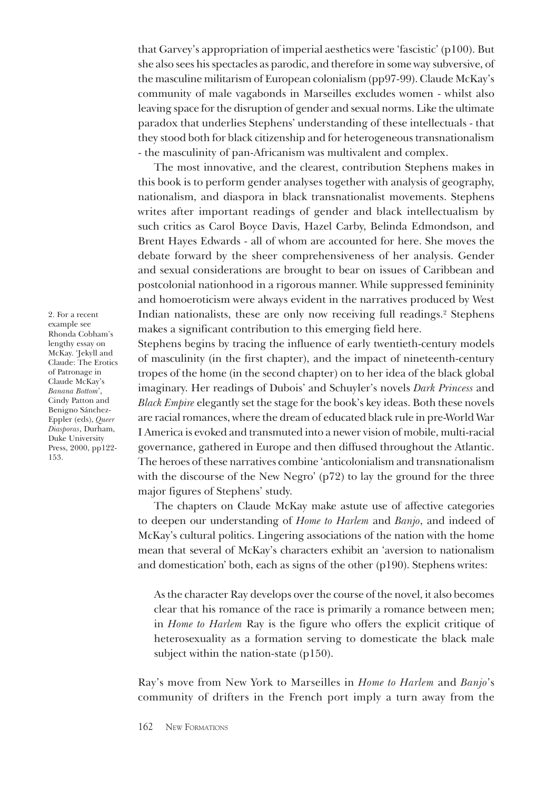that Garvey's appropriation of imperial aesthetics were 'fascistic' (p100). But she also sees his spectacles as parodic, and therefore in some way subversive, of the masculine militarism of European colonialism (pp97-99). Claude McKay's community of male vagabonds in Marseilles excludes women - whilst also leaving space for the disruption of gender and sexual norms. Like the ultimate paradox that underlies Stephens' understanding of these intellectuals - that they stood both for black citizenship and for heterogeneous transnationalism - the masculinity of pan-Africanism was multivalent and complex.

The most innovative, and the clearest, contribution Stephens makes in this book is to perform gender analyses together with analysis of geography, nationalism, and diaspora in black transnationalist movements. Stephens writes after important readings of gender and black intellectualism by such critics as Carol Boyce Davis, Hazel Carby, Belinda Edmondson, and Brent Hayes Edwards - all of whom are accounted for here. She moves the debate forward by the sheer comprehensiveness of her analysis. Gender and sexual considerations are brought to bear on issues of Caribbean and postcolonial nationhood in a rigorous manner. While suppressed femininity and homoeroticism were always evident in the narratives produced by West Indian nationalists, these are only now receiving full readings.<sup>2</sup> Stephens makes a significant contribution to this emerging field here.

Stephens begins by tracing the influence of early twentieth-century models of masculinity (in the first chapter), and the impact of nineteenth-century tropes of the home (in the second chapter) on to her idea of the black global imaginary. Her readings of Dubois' and Schuyler's novels *Dark Princess* and *Black Empire* elegantly set the stage for the book's key ideas. Both these novels are racial romances, where the dream of educated black rule in pre-World War I America is evoked and transmuted into a newer vision of mobile, multi-racial governance, gathered in Europe and then diffused throughout the Atlantic. The heroes of these narratives combine 'anticolonialism and transnationalism with the discourse of the New Negro' (p72) to lay the ground for the three major figures of Stephens' study.

The chapters on Claude McKay make astute use of affective categories to deepen our understanding of *Home to Harlem* and *Banjo*, and indeed of McKay's cultural politics. Lingering associations of the nation with the home mean that several of McKay's characters exhibit an 'aversion to nationalism and domestication' both, each as signs of the other (p190). Stephens writes:

As the character Ray develops over the course of the novel, it also becomes clear that his romance of the race is primarily a romance between men; in *Home to Harlem* Ray is the figure who offers the explicit critique of heterosexuality as a formation serving to domesticate the black male subject within the nation-state (p150).

Ray's move from New York to Marseilles in *Home to Harlem* and *Banjo*'s community of drifters in the French port imply a turn away from the

2. For a recent example see Rhonda Cobham's lengthy essay on McKay. 'Jekyll and Claude: The Erotics of Patronage in Claude McKay's *Banana Bottom*', Cindy Patton and Benigno Sánchez-Eppler (eds), *Queer Diasporas*, Durham, Duke University Press, 2000, pp122- 153.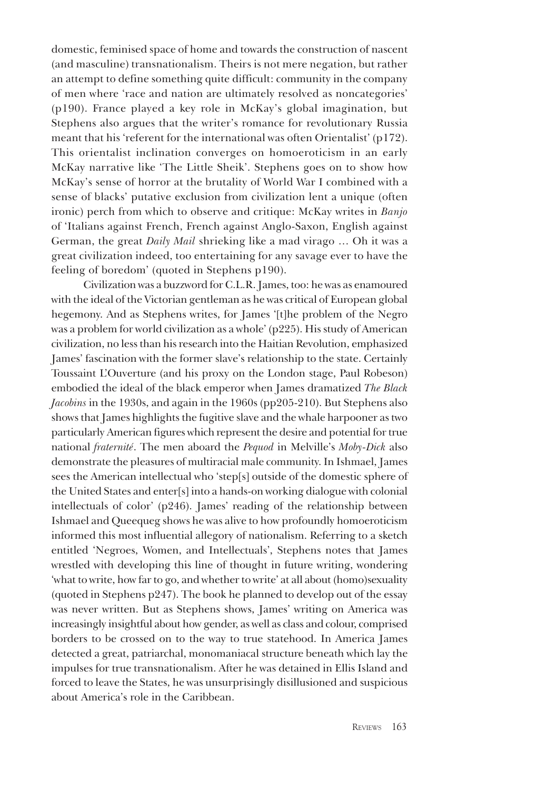domestic, feminised space of home and towards the construction of nascent (and masculine) transnationalism. Theirs is not mere negation, but rather an attempt to define something quite difficult: community in the company of men where 'race and nation are ultimately resolved as noncategories' (p190). France played a key role in McKay's global imagination, but Stephens also argues that the writer's romance for revolutionary Russia meant that his 'referent for the international was often Orientalist' (p172). This orientalist inclination converges on homoeroticism in an early McKay narrative like 'The Little Sheik'. Stephens goes on to show how McKay's sense of horror at the brutality of World War I combined with a sense of blacks' putative exclusion from civilization lent a unique (often ironic) perch from which to observe and critique: McKay writes in *Banjo*  of 'Italians against French, French against Anglo-Saxon, English against German, the great *Daily Mail* shrieking like a mad virago … Oh it was a great civilization indeed, too entertaining for any savage ever to have the feeling of boredom' (quoted in Stephens p190).

 Civilization was a buzzword for C.L.R. James, too: he was as enamoured with the ideal of the Victorian gentleman as he was critical of European global hegemony. And as Stephens writes, for James '[t]he problem of the Negro was a problem for world civilization as a whole' (p225). His study of American civilization, no less than his research into the Haitian Revolution, emphasized James' fascination with the former slave's relationship to the state. Certainly Toussaint L'Ouverture (and his proxy on the London stage, Paul Robeson) embodied the ideal of the black emperor when James dramatized *The Black Jacobins* in the 1930s, and again in the 1960s (pp205-210). But Stephens also shows that James highlights the fugitive slave and the whale harpooner as two particularly American figures which represent the desire and potential for true national *fraternité*. The men aboard the *Pequod* in Melville's *Moby-Dick* also demonstrate the pleasures of multiracial male community. In Ishmael, James sees the American intellectual who 'step[s] outside of the domestic sphere of the United States and enter[s] into a hands-on working dialogue with colonial intellectuals of color' (p246). James' reading of the relationship between Ishmael and Queequeg shows he was alive to how profoundly homoeroticism informed this most influential allegory of nationalism. Referring to a sketch entitled 'Negroes, Women, and Intellectuals', Stephens notes that James wrestled with developing this line of thought in future writing, wondering 'what to write, how far to go, and whether to write' at all about (homo)sexuality (quoted in Stephens p247). The book he planned to develop out of the essay was never written. But as Stephens shows, James' writing on America was increasingly insightful about how gender, as well as class and colour, comprised borders to be crossed on to the way to true statehood. In America James detected a great, patriarchal, monomaniacal structure beneath which lay the impulses for true transnationalism. After he was detained in Ellis Island and forced to leave the States, he was unsurprisingly disillusioned and suspicious about America's role in the Caribbean.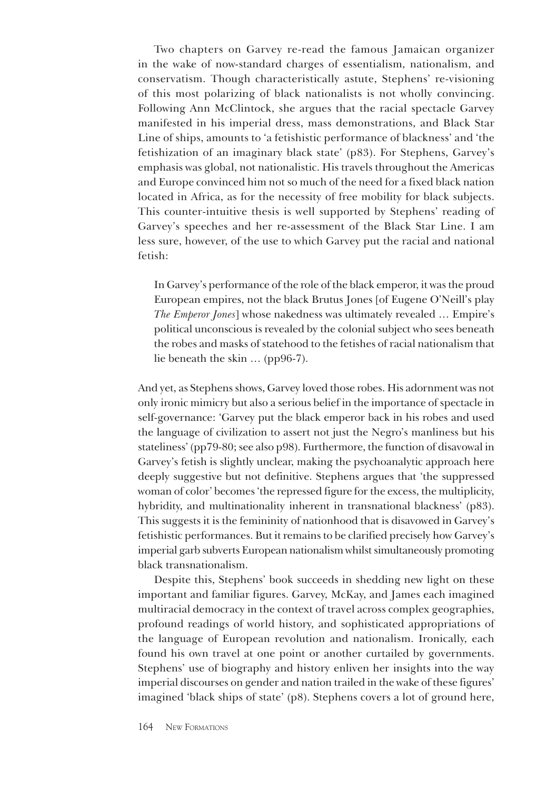Two chapters on Garvey re-read the famous Jamaican organizer in the wake of now-standard charges of essentialism, nationalism, and conservatism. Though characteristically astute, Stephens' re-visioning of this most polarizing of black nationalists is not wholly convincing. Following Ann McClintock, she argues that the racial spectacle Garvey manifested in his imperial dress, mass demonstrations, and Black Star Line of ships, amounts to 'a fetishistic performance of blackness' and 'the fetishization of an imaginary black state' (p83). For Stephens, Garvey's emphasis was global, not nationalistic. His travels throughout the Americas and Europe convinced him not so much of the need for a fixed black nation located in Africa, as for the necessity of free mobility for black subjects. This counter-intuitive thesis is well supported by Stephens' reading of Garvey's speeches and her re-assessment of the Black Star Line. I am less sure, however, of the use to which Garvey put the racial and national fetish:

In Garvey's performance of the role of the black emperor, it was the proud European empires, not the black Brutus Jones [of Eugene O'Neill's play *The Emperor Jones*] whose nakedness was ultimately revealed … Empire's political unconscious is revealed by the colonial subject who sees beneath the robes and masks of statehood to the fetishes of racial nationalism that lie beneath the skin … (pp96-7).

And yet, as Stephens shows, Garvey loved those robes. His adornment was not only ironic mimicry but also a serious belief in the importance of spectacle in self-governance: 'Garvey put the black emperor back in his robes and used the language of civilization to assert not just the Negro's manliness but his stateliness' (pp79-80; see also p98). Furthermore, the function of disavowal in Garvey's fetish is slightly unclear, making the psychoanalytic approach here deeply suggestive but not definitive. Stephens argues that 'the suppressed woman of color' becomes 'the repressed figure for the excess, the multiplicity, hybridity, and multinationality inherent in transnational blackness' (p83). This suggests it is the femininity of nationhood that is disavowed in Garvey's fetishistic performances. But it remains to be clarified precisely how Garvey's imperial garb subverts European nationalism whilst simultaneously promoting black transnationalism.

Despite this, Stephens' book succeeds in shedding new light on these important and familiar figures. Garvey, McKay, and James each imagined multiracial democracy in the context of travel across complex geographies, profound readings of world history, and sophisticated appropriations of the language of European revolution and nationalism. Ironically, each found his own travel at one point or another curtailed by governments. Stephens' use of biography and history enliven her insights into the way imperial discourses on gender and nation trailed in the wake of these figures' imagined 'black ships of state' (p8). Stephens covers a lot of ground here,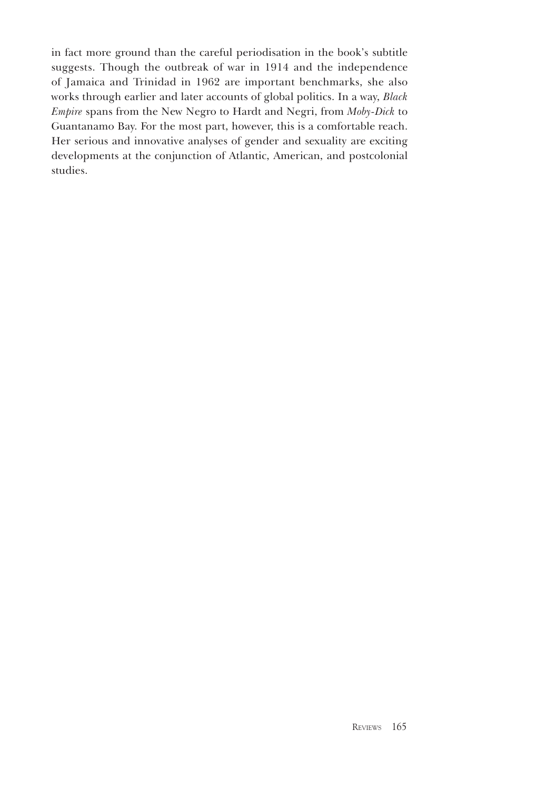in fact more ground than the careful periodisation in the book's subtitle suggests. Though the outbreak of war in 1914 and the independence of Jamaica and Trinidad in 1962 are important benchmarks, she also works through earlier and later accounts of global politics. In a way, *Black Empire* spans from the New Negro to Hardt and Negri, from *Moby-Dick* to Guantanamo Bay. For the most part, however, this is a comfortable reach. Her serious and innovative analyses of gender and sexuality are exciting developments at the conjunction of Atlantic, American, and postcolonial studies.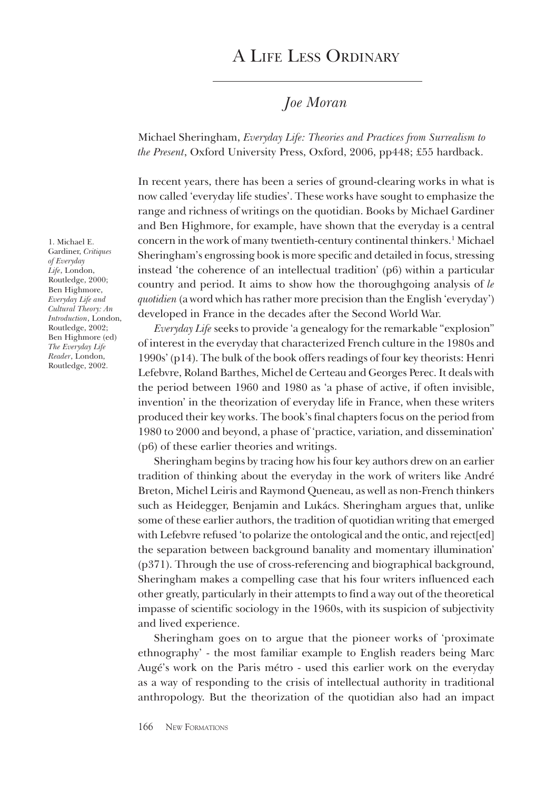# A Life Less Ordinary

### *Joe Moran*

Michael Sheringham, *Everyday Life: Theories and Practices from Surrealism to the Present*, Oxford University Press, Oxford, 2006, pp448; £55 hardback.

In recent years, there has been a series of ground-clearing works in what is now called 'everyday life studies'. These works have sought to emphasize the range and richness of writings on the quotidian. Books by Michael Gardiner and Ben Highmore, for example, have shown that the everyday is a central concern in the work of many twentieth-century continental thinkers.1 Michael Sheringham's engrossing book is more specific and detailed in focus, stressing instead 'the coherence of an intellectual tradition' (p6) within a particular country and period. It aims to show how the thoroughgoing analysis of *le quotidien* (a word which has rather more precision than the English 'everyday') developed in France in the decades after the Second World War.

*Everyday Life* seeks to provide 'a genealogy for the remarkable "explosion" of interest in the everyday that characterized French culture in the 1980s and 1990s' (p14). The bulk of the book offers readings of four key theorists: Henri Lefebvre, Roland Barthes, Michel de Certeau and Georges Perec. It deals with the period between 1960 and 1980 as 'a phase of active, if often invisible, invention' in the theorization of everyday life in France, when these writers produced their key works. The book's final chapters focus on the period from 1980 to 2000 and beyond, a phase of 'practice, variation, and dissemination' (p6) of these earlier theories and writings.

Sheringham begins by tracing how his four key authors drew on an earlier tradition of thinking about the everyday in the work of writers like André Breton, Michel Leiris and Raymond Queneau, as well as non-French thinkers such as Heidegger, Benjamin and Lukács. Sheringham argues that, unlike some of these earlier authors, the tradition of quotidian writing that emerged with Lefebvre refused 'to polarize the ontological and the ontic, and reject[ed] the separation between background banality and momentary illumination' (p371). Through the use of cross-referencing and biographical background, Sheringham makes a compelling case that his four writers influenced each other greatly, particularly in their attempts to find a way out of the theoretical impasse of scientific sociology in the 1960s, with its suspicion of subjectivity and lived experience.

Sheringham goes on to argue that the pioneer works of 'proximate ethnography' - the most familiar example to English readers being Marc Augé's work on the Paris métro - used this earlier work on the everyday as a way of responding to the crisis of intellectual authority in traditional anthropology. But the theorization of the quotidian also had an impact

1. Michael E. Gardiner, *Critiques of Everyday Life*, London, Routledge, 2000; Ben Highmore, *Everyday Life and Cultural Theory: An Introduction*, London, Routledge, 2002; Ben Highmore (ed) *The Everyday Life Reader*, London, Routledge, 2002.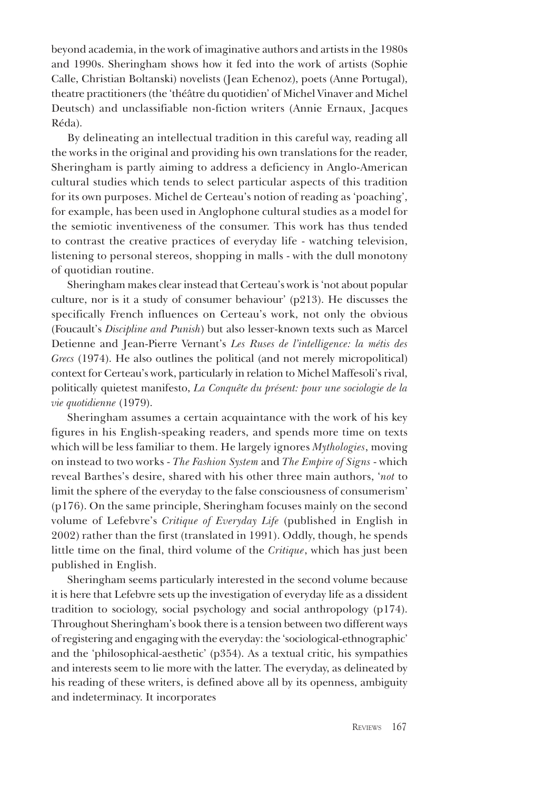beyond academia, in the work of imaginative authors and artists in the 1980s and 1990s. Sheringham shows how it fed into the work of artists (Sophie Calle, Christian Boltanski) novelists (Jean Echenoz), poets (Anne Portugal), theatre practitioners (the 'théâtre du quotidien' of Michel Vinaver and Michel Deutsch) and unclassifiable non-fiction writers (Annie Ernaux, Jacques Réda).

By delineating an intellectual tradition in this careful way, reading all the works in the original and providing his own translations for the reader, Sheringham is partly aiming to address a deficiency in Anglo-American cultural studies which tends to select particular aspects of this tradition for its own purposes. Michel de Certeau's notion of reading as 'poaching', for example, has been used in Anglophone cultural studies as a model for the semiotic inventiveness of the consumer. This work has thus tended to contrast the creative practices of everyday life - watching television, listening to personal stereos, shopping in malls - with the dull monotony of quotidian routine.

Sheringham makes clear instead that Certeau's work is 'not about popular culture, nor is it a study of consumer behaviour' (p213). He discusses the specifically French influences on Certeau's work, not only the obvious (Foucault's *Discipline and Punish*) but also lesser-known texts such as Marcel Detienne and Jean-Pierre Vernant's *Les Ruses de l'intelligence: la métis des Grecs* (1974). He also outlines the political (and not merely micropolitical) context for Certeau's work, particularly in relation to Michel Maffesoli's rival, politically quietest manifesto, *La Conquête du présent: pour une sociologie de la vie quotidienne* (1979).

Sheringham assumes a certain acquaintance with the work of his key figures in his English-speaking readers, and spends more time on texts which will be less familiar to them. He largely ignores *Mythologies*, moving on instead to two works - *The Fashion System* and *The Empire of Signs* - which reveal Barthes's desire, shared with his other three main authors, '*not* to limit the sphere of the everyday to the false consciousness of consumerism' (p176). On the same principle, Sheringham focuses mainly on the second volume of Lefebvre's *Critique of Everyday Life* (published in English in 2002) rather than the first (translated in 1991). Oddly, though, he spends little time on the final, third volume of the *Critique*, which has just been published in English.

Sheringham seems particularly interested in the second volume because it is here that Lefebvre sets up the investigation of everyday life as a dissident tradition to sociology, social psychology and social anthropology (p174). Throughout Sheringham's book there is a tension between two different ways of registering and engaging with the everyday: the 'sociological-ethnographic' and the 'philosophical-aesthetic' (p354). As a textual critic, his sympathies and interests seem to lie more with the latter. The everyday, as delineated by his reading of these writers, is defined above all by its openness, ambiguity and indeterminacy. It incorporates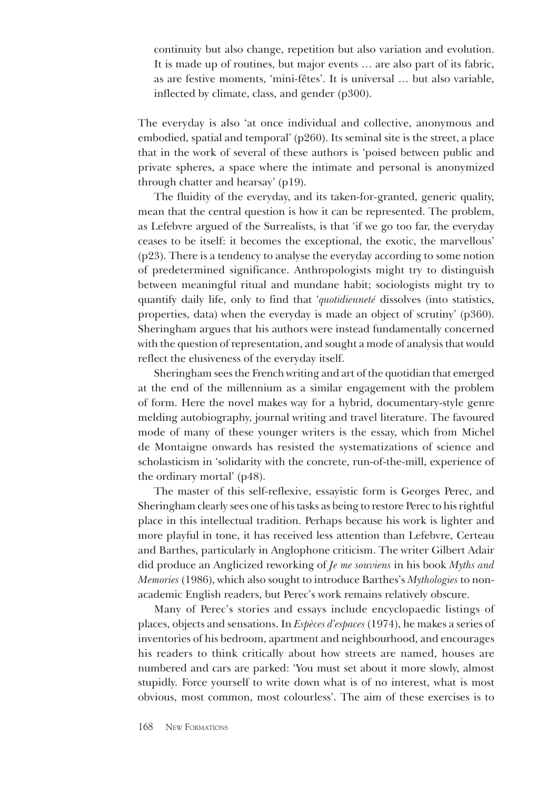continuity but also change, repetition but also variation and evolution. It is made up of routines, but major events … are also part of its fabric, as are festive moments, 'mini-fêtes'. It is universal … but also variable, inflected by climate, class, and gender (p300).

The everyday is also 'at once individual and collective, anonymous and embodied, spatial and temporal' (p260). Its seminal site is the street, a place that in the work of several of these authors is 'poised between public and private spheres, a space where the intimate and personal is anonymized through chatter and hearsay' (p19).

The fluidity of the everyday, and its taken-for-granted, generic quality, mean that the central question is how it can be represented. The problem, as Lefebvre argued of the Surrealists, is that 'if we go too far, the everyday ceases to be itself: it becomes the exceptional, the exotic, the marvellous' (p23). There is a tendency to analyse the everyday according to some notion of predetermined significance. Anthropologists might try to distinguish between meaningful ritual and mundane habit; sociologists might try to quantify daily life, only to find that '*quotidienneté* dissolves (into statistics, properties, data) when the everyday is made an object of scrutiny' (p360). Sheringham argues that his authors were instead fundamentally concerned with the question of representation, and sought a mode of analysis that would reflect the elusiveness of the everyday itself.

Sheringham sees the French writing and art of the quotidian that emerged at the end of the millennium as a similar engagement with the problem of form. Here the novel makes way for a hybrid, documentary-style genre melding autobiography, journal writing and travel literature. The favoured mode of many of these younger writers is the essay, which from Michel de Montaigne onwards has resisted the systematizations of science and scholasticism in 'solidarity with the concrete, run-of-the-mill, experience of the ordinary mortal' (p48).

The master of this self-reflexive, essayistic form is Georges Perec, and Sheringham clearly sees one of his tasks as being to restore Perec to his rightful place in this intellectual tradition. Perhaps because his work is lighter and more playful in tone, it has received less attention than Lefebvre, Certeau and Barthes, particularly in Anglophone criticism. The writer Gilbert Adair did produce an Anglicized reworking of *Je me souviens* in his book *Myths and Memories* (1986), which also sought to introduce Barthes's *Mythologies* to nonacademic English readers, but Perec's work remains relatively obscure.

Many of Perec's stories and essays include encyclopaedic listings of places, objects and sensations. In *Espèces d'espaces* (1974), he makes a series of inventories of his bedroom, apartment and neighbourhood, and encourages his readers to think critically about how streets are named, houses are numbered and cars are parked: 'You must set about it more slowly, almost stupidly. Force yourself to write down what is of no interest, what is most obvious, most common, most colourless'. The aim of these exercises is to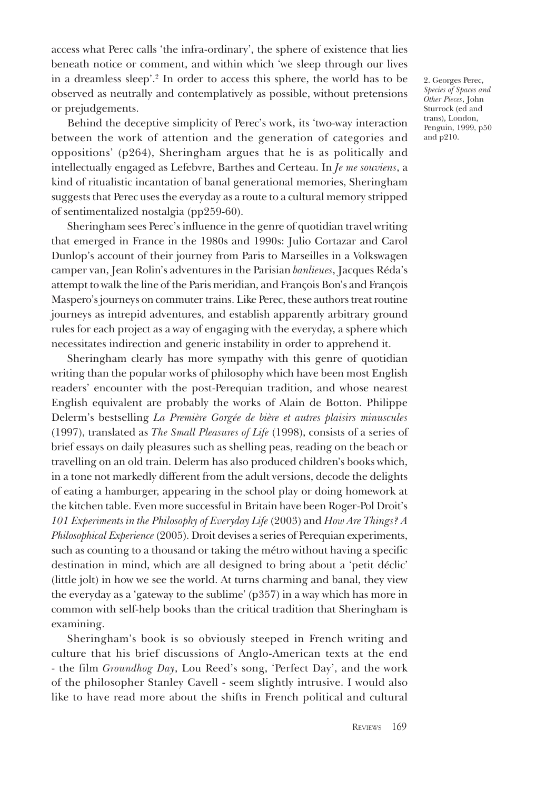access what Perec calls 'the infra-ordinary', the sphere of existence that lies beneath notice or comment, and within which 'we sleep through our lives in a dreamless sleep'.2 In order to access this sphere, the world has to be observed as neutrally and contemplatively as possible, without pretensions or prejudgements.

Behind the deceptive simplicity of Perec's work, its 'two-way interaction between the work of attention and the generation of categories and oppositions' (p264), Sheringham argues that he is as politically and intellectually engaged as Lefebvre, Barthes and Certeau. In *Je me souviens*, a kind of ritualistic incantation of banal generational memories, Sheringham suggests that Perec uses the everyday as a route to a cultural memory stripped of sentimentalized nostalgia (pp259-60).

Sheringham sees Perec's influence in the genre of quotidian travel writing that emerged in France in the 1980s and 1990s: Julio Cortazar and Carol Dunlop's account of their journey from Paris to Marseilles in a Volkswagen camper van, Jean Rolin's adventures in the Parisian *banlieues*, Jacques Réda's attempt to walk the line of the Paris meridian, and François Bon's and François Maspero's journeys on commuter trains. Like Perec, these authors treat routine journeys as intrepid adventures, and establish apparently arbitrary ground rules for each project as a way of engaging with the everyday, a sphere which necessitates indirection and generic instability in order to apprehend it.

Sheringham clearly has more sympathy with this genre of quotidian writing than the popular works of philosophy which have been most English readers' encounter with the post-Perequian tradition, and whose nearest English equivalent are probably the works of Alain de Botton. Philippe Delerm's bestselling *La Première Gorgée de bière et autres plaisirs minuscules*  (1997), translated as *The Small Pleasures of Life* (1998), consists of a series of brief essays on daily pleasures such as shelling peas, reading on the beach or travelling on an old train. Delerm has also produced children's books which, in a tone not markedly different from the adult versions, decode the delights of eating a hamburger, appearing in the school play or doing homework at the kitchen table. Even more successful in Britain have been Roger-Pol Droit's *101 Experiments in the Philosophy of Everyday Life* (2003) and *How Are Things? A Philosophical Experience* (2005). Droit devises a series of Perequian experiments, such as counting to a thousand or taking the métro without having a specific destination in mind, which are all designed to bring about a 'petit déclic' (little jolt) in how we see the world. At turns charming and banal, they view the everyday as a 'gateway to the sublime' (p357) in a way which has more in common with self-help books than the critical tradition that Sheringham is examining.

Sheringham's book is so obviously steeped in French writing and culture that his brief discussions of Anglo-American texts at the end - the film *Groundhog Day*, Lou Reed's song, 'Perfect Day', and the work of the philosopher Stanley Cavell - seem slightly intrusive. I would also like to have read more about the shifts in French political and cultural

2. Georges Perec, *Species of Spaces and Other Pieces*, John Sturrock (ed and trans), London, Penguin, 1999, p50 and p210.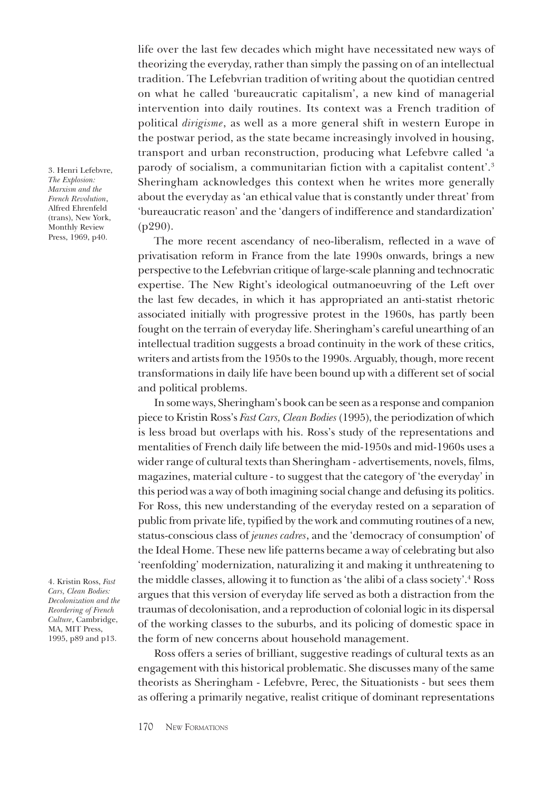life over the last few decades which might have necessitated new ways of theorizing the everyday, rather than simply the passing on of an intellectual tradition. The Lefebvrian tradition of writing about the quotidian centred on what he called 'bureaucratic capitalism', a new kind of managerial intervention into daily routines. Its context was a French tradition of political *dirigisme*, as well as a more general shift in western Europe in the postwar period, as the state became increasingly involved in housing, transport and urban reconstruction, producing what Lefebvre called 'a parody of socialism, a communitarian fiction with a capitalist content'.3 Sheringham acknowledges this context when he writes more generally about the everyday as 'an ethical value that is constantly under threat' from 'bureaucratic reason' and the 'dangers of indifference and standardization' (p290).

The more recent ascendancy of neo-liberalism, reflected in a wave of privatisation reform in France from the late 1990s onwards, brings a new perspective to the Lefebvrian critique of large-scale planning and technocratic expertise. The New Right's ideological outmanoeuvring of the Left over the last few decades, in which it has appropriated an anti-statist rhetoric associated initially with progressive protest in the 1960s, has partly been fought on the terrain of everyday life. Sheringham's careful unearthing of an intellectual tradition suggests a broad continuity in the work of these critics, writers and artists from the 1950s to the 1990s. Arguably, though, more recent transformations in daily life have been bound up with a different set of social and political problems.

In some ways, Sheringham's book can be seen as a response and companion piece to Kristin Ross's *Fast Cars, Clean Bodies* (1995), the periodization of which is less broad but overlaps with his. Ross's study of the representations and mentalities of French daily life between the mid-1950s and mid-1960s uses a wider range of cultural texts than Sheringham - advertisements, novels, films, magazines, material culture - to suggest that the category of 'the everyday' in this period was a way of both imagining social change and defusing its politics. For Ross, this new understanding of the everyday rested on a separation of public from private life, typified by the work and commuting routines of a new, status-conscious class of *jeunes cadres*, and the 'democracy of consumption' of the Ideal Home. These new life patterns became a way of celebrating but also 'reenfolding' modernization, naturalizing it and making it unthreatening to the middle classes, allowing it to function as 'the alibi of a class society'.4 Ross argues that this version of everyday life served as both a distraction from the traumas of decolonisation, and a reproduction of colonial logic in its dispersal of the working classes to the suburbs, and its policing of domestic space in the form of new concerns about household management.

Ross offers a series of brilliant, suggestive readings of cultural texts as an engagement with this historical problematic. She discusses many of the same theorists as Sheringham - Lefebvre, Perec, the Situationists - but sees them as offering a primarily negative, realist critique of dominant representations

3. Henri Lefebvre, *The Explosion: Marxism and the French Revolution*, Alfred Ehrenfeld (trans), New York, Monthly Review Press, 1969, p40.

4. Kristin Ross, *Fast Cars, Clean Bodies: Decolonization and the Reordering of French Culture*, Cambridge, MA, MIT Press, 1995, p89 and p13.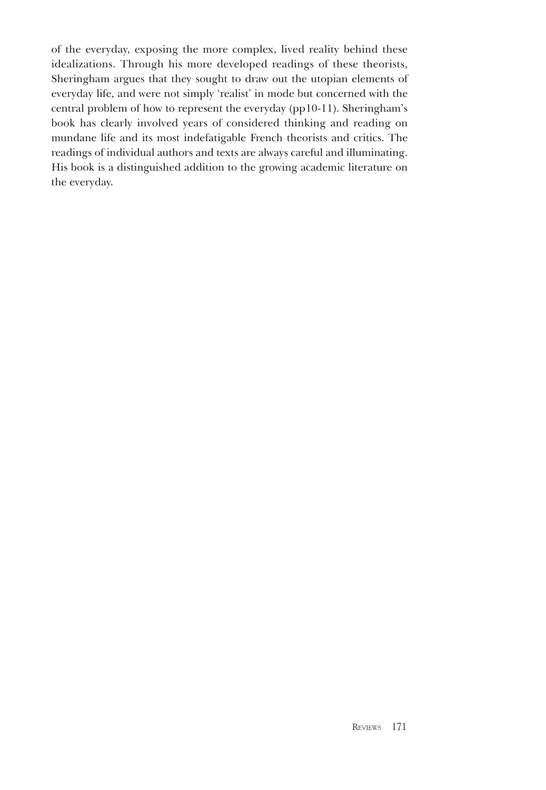of the everyday, exposing the more complex, lived reality behind these idealizations. Through his more developed readings of these theorists, Sheringham argues that they sought to draw out the utopian elements of everyday life, and were not simply 'realist' in mode but concerned with the central problem of how to represent the everyday (pp10-11). Sheringham's book has clearly involved years of considered thinking and reading on mundane life and its most indefatigable French theorists and critics. The readings of individual authors and texts are always careful and illuminating. His book is a distinguished addition to the growing academic literature on the everyday.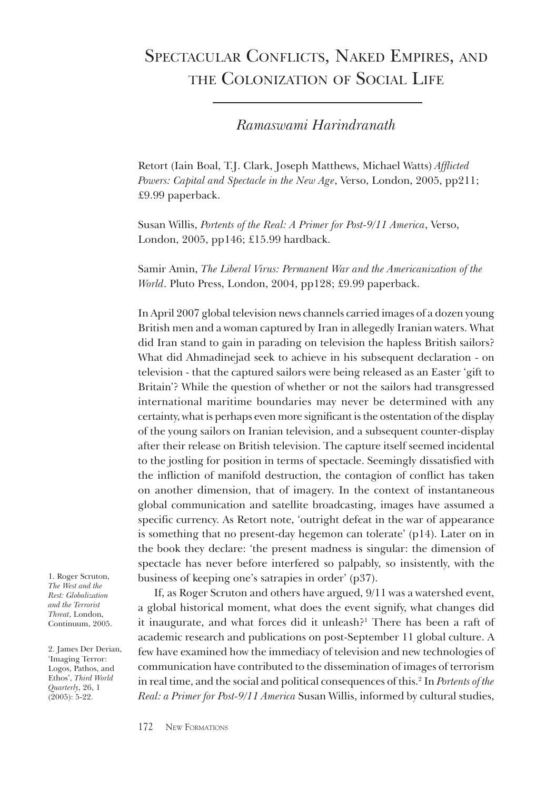# Spectacular Conflicts, Naked Empires, and the Colonization of Social Life

*Ramaswami Harindranath*

Retort (Iain Boal, T.J. Clark, Joseph Matthews, Michael Watts) *Afflicted Powers: Capital and Spectacle in the New Age*, Verso, London, 2005, pp211; £9.99 paperback.

Susan Willis, *Portents of the Real: A Primer for Post-9/11 America*, Verso, London, 2005, pp146; £15.99 hardback.

Samir Amin, *The Liberal Virus: Permanent War and the Americanization of the World*. Pluto Press, London, 2004, pp128; £9.99 paperback.

In April 2007 global television news channels carried images of a dozen young British men and a woman captured by Iran in allegedly Iranian waters. What did Iran stand to gain in parading on television the hapless British sailors? What did Ahmadinejad seek to achieve in his subsequent declaration - on television - that the captured sailors were being released as an Easter 'gift to Britain'? While the question of whether or not the sailors had transgressed international maritime boundaries may never be determined with any certainty, what is perhaps even more significant is the ostentation of the display of the young sailors on Iranian television, and a subsequent counter-display after their release on British television. The capture itself seemed incidental to the jostling for position in terms of spectacle. Seemingly dissatisfied with the infliction of manifold destruction, the contagion of conflict has taken on another dimension, that of imagery. In the context of instantaneous global communication and satellite broadcasting, images have assumed a specific currency. As Retort note, 'outright defeat in the war of appearance is something that no present-day hegemon can tolerate' (p14). Later on in the book they declare: 'the present madness is singular: the dimension of spectacle has never before interfered so palpably, so insistently, with the business of keeping one's satrapies in order' (p37).

1. Roger Scruton, *The West and the Rest: Globalization and the Terrorist Threat*, London, Continuum, 2005.

2. James Der Derian, 'Imaging Terror: Logos, Pathos, and Ethos', *Third World Quarterly*, 26, 1 (2005): 5-22.

If, as Roger Scruton and others have argued, 9/11 was a watershed event, a global historical moment, what does the event signify, what changes did it inaugurate, and what forces did it unleash?<sup>1</sup> There has been a raft of academic research and publications on post-September 11 global culture. A few have examined how the immediacy of television and new technologies of communication have contributed to the dissemination of images of terrorism in real time, and the social and political consequences of this.2 In *Portents of the Real: a Primer for Post-9/11 America* Susan Willis, informed by cultural studies,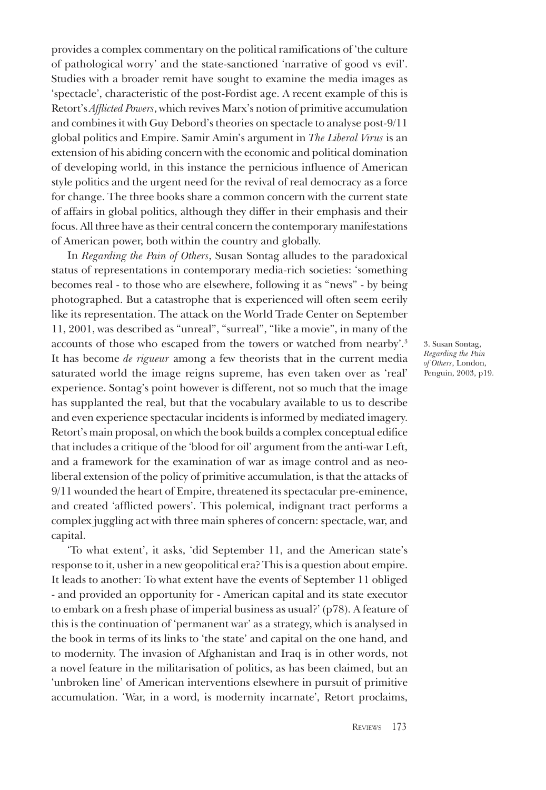provides a complex commentary on the political ramifications of 'the culture of pathological worry' and the state-sanctioned 'narrative of good vs evil'. Studies with a broader remit have sought to examine the media images as 'spectacle', characteristic of the post-Fordist age. A recent example of this is Retort's *Afflicted Powers*, which revives Marx's notion of primitive accumulation and combines it with Guy Debord's theories on spectacle to analyse post-9/11 global politics and Empire. Samir Amin's argument in *The Liberal Virus* is an extension of his abiding concern with the economic and political domination of developing world, in this instance the pernicious influence of American style politics and the urgent need for the revival of real democracy as a force for change. The three books share a common concern with the current state of affairs in global politics, although they differ in their emphasis and their focus. All three have as their central concern the contemporary manifestations of American power, both within the country and globally.

In *Regarding the Pain of Others*, Susan Sontag alludes to the paradoxical status of representations in contemporary media-rich societies: 'something becomes real - to those who are elsewhere, following it as "news" - by being photographed. But a catastrophe that is experienced will often seem eerily like its representation. The attack on the World Trade Center on September 11, 2001, was described as "unreal", "surreal", "like a movie", in many of the accounts of those who escaped from the towers or watched from nearby'.3 It has become *de rigueur* among a few theorists that in the current media saturated world the image reigns supreme, has even taken over as 'real' experience. Sontag's point however is different, not so much that the image has supplanted the real, but that the vocabulary available to us to describe and even experience spectacular incidents is informed by mediated imagery. Retort's main proposal, on which the book builds a complex conceptual edifice that includes a critique of the 'blood for oil' argument from the anti-war Left, and a framework for the examination of war as image control and as neoliberal extension of the policy of primitive accumulation, is that the attacks of 9/11 wounded the heart of Empire, threatened its spectacular pre-eminence, and created 'afflicted powers'. This polemical, indignant tract performs a complex juggling act with three main spheres of concern: spectacle, war, and capital.

'To what extent', it asks, 'did September 11, and the American state's response to it, usher in a new geopolitical era? This is a question about empire. It leads to another: To what extent have the events of September 11 obliged - and provided an opportunity for - American capital and its state executor to embark on a fresh phase of imperial business as usual?' (p78). A feature of this is the continuation of 'permanent war' as a strategy, which is analysed in the book in terms of its links to 'the state' and capital on the one hand, and to modernity. The invasion of Afghanistan and Iraq is in other words, not a novel feature in the militarisation of politics, as has been claimed, but an 'unbroken line' of American interventions elsewhere in pursuit of primitive accumulation. 'War, in a word, is modernity incarnate', Retort proclaims,

3. Susan Sontag, *Regarding the Pain of Others*, London, Penguin, 2003, p19.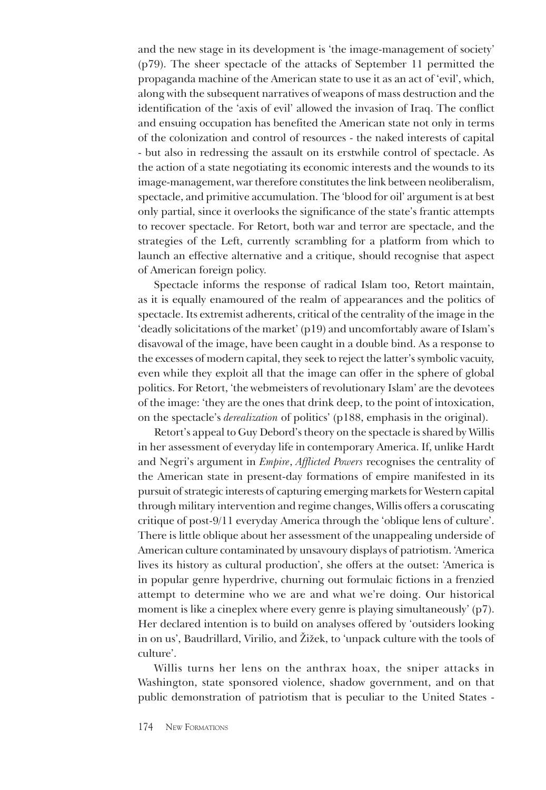and the new stage in its development is 'the image-management of society' (p79). The sheer spectacle of the attacks of September 11 permitted the propaganda machine of the American state to use it as an act of 'evil', which, along with the subsequent narratives of weapons of mass destruction and the identification of the 'axis of evil' allowed the invasion of Iraq. The conflict and ensuing occupation has benefited the American state not only in terms of the colonization and control of resources - the naked interests of capital - but also in redressing the assault on its erstwhile control of spectacle. As the action of a state negotiating its economic interests and the wounds to its image-management, war therefore constitutes the link between neoliberalism, spectacle, and primitive accumulation. The 'blood for oil' argument is at best only partial, since it overlooks the significance of the state's frantic attempts to recover spectacle. For Retort, both war and terror are spectacle, and the strategies of the Left, currently scrambling for a platform from which to launch an effective alternative and a critique, should recognise that aspect of American foreign policy.

Spectacle informs the response of radical Islam too, Retort maintain, as it is equally enamoured of the realm of appearances and the politics of spectacle. Its extremist adherents, critical of the centrality of the image in the 'deadly solicitations of the market' (p19) and uncomfortably aware of Islam's disavowal of the image, have been caught in a double bind. As a response to the excesses of modern capital, they seek to reject the latter's symbolic vacuity, even while they exploit all that the image can offer in the sphere of global politics. For Retort, 'the webmeisters of revolutionary Islam' are the devotees of the image: 'they are the ones that drink deep, to the point of intoxication, on the spectacle's *derealization* of politics' (p188, emphasis in the original).

Retort's appeal to Guy Debord's theory on the spectacle is shared by Willis in her assessment of everyday life in contemporary America. If, unlike Hardt and Negri's argument in *Empire*, *Afflicted Powers* recognises the centrality of the American state in present-day formations of empire manifested in its pursuit of strategic interests of capturing emerging markets for Western capital through military intervention and regime changes, Willis offers a coruscating critique of post-9/11 everyday America through the 'oblique lens of culture'. There is little oblique about her assessment of the unappealing underside of American culture contaminated by unsavoury displays of patriotism. 'America lives its history as cultural production', she offers at the outset: 'America is in popular genre hyperdrive, churning out formulaic fictions in a frenzied attempt to determine who we are and what we're doing. Our historical moment is like a cineplex where every genre is playing simultaneously' (p7). Her declared intention is to build on analyses offered by 'outsiders looking in on us', Baudrillard, Virilio, and Žižek, to 'unpack culture with the tools of culture'.

Willis turns her lens on the anthrax hoax, the sniper attacks in Washington, state sponsored violence, shadow government, and on that public demonstration of patriotism that is peculiar to the United States -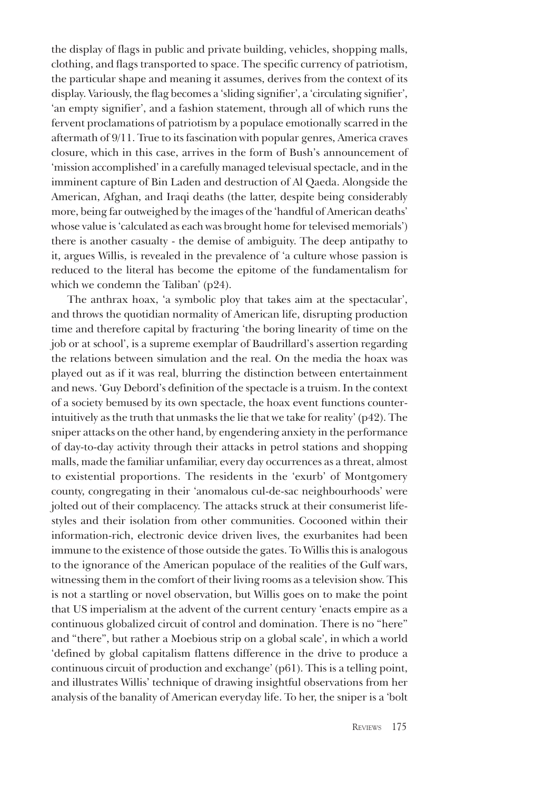the display of flags in public and private building, vehicles, shopping malls, clothing, and flags transported to space. The specific currency of patriotism, the particular shape and meaning it assumes, derives from the context of its display. Variously, the flag becomes a 'sliding signifier', a 'circulating signifier', 'an empty signifier', and a fashion statement, through all of which runs the fervent proclamations of patriotism by a populace emotionally scarred in the aftermath of 9/11. True to its fascination with popular genres, America craves closure, which in this case, arrives in the form of Bush's announcement of 'mission accomplished' in a carefully managed televisual spectacle, and in the imminent capture of Bin Laden and destruction of Al Qaeda. Alongside the American, Afghan, and Iraqi deaths (the latter, despite being considerably more, being far outweighed by the images of the 'handful of American deaths' whose value is 'calculated as each was brought home for televised memorials') there is another casualty - the demise of ambiguity. The deep antipathy to it, argues Willis, is revealed in the prevalence of 'a culture whose passion is reduced to the literal has become the epitome of the fundamentalism for which we condemn the Taliban' (p24).

The anthrax hoax, 'a symbolic ploy that takes aim at the spectacular', and throws the quotidian normality of American life, disrupting production time and therefore capital by fracturing 'the boring linearity of time on the job or at school', is a supreme exemplar of Baudrillard's assertion regarding the relations between simulation and the real. On the media the hoax was played out as if it was real, blurring the distinction between entertainment and news. 'Guy Debord's definition of the spectacle is a truism. In the context of a society bemused by its own spectacle, the hoax event functions counterintuitively as the truth that unmasks the lie that we take for reality' (p42). The sniper attacks on the other hand, by engendering anxiety in the performance of day-to-day activity through their attacks in petrol stations and shopping malls, made the familiar unfamiliar, every day occurrences as a threat, almost to existential proportions. The residents in the 'exurb' of Montgomery county, congregating in their 'anomalous cul-de-sac neighbourhoods' were jolted out of their complacency. The attacks struck at their consumerist lifestyles and their isolation from other communities. Cocooned within their information-rich, electronic device driven lives, the exurbanites had been immune to the existence of those outside the gates. To Willis this is analogous to the ignorance of the American populace of the realities of the Gulf wars, witnessing them in the comfort of their living rooms as a television show. This is not a startling or novel observation, but Willis goes on to make the point that US imperialism at the advent of the current century 'enacts empire as a continuous globalized circuit of control and domination. There is no "here" and "there", but rather a Moebious strip on a global scale', in which a world 'defined by global capitalism flattens difference in the drive to produce a continuous circuit of production and exchange' (p61). This is a telling point, and illustrates Willis' technique of drawing insightful observations from her analysis of the banality of American everyday life. To her, the sniper is a 'bolt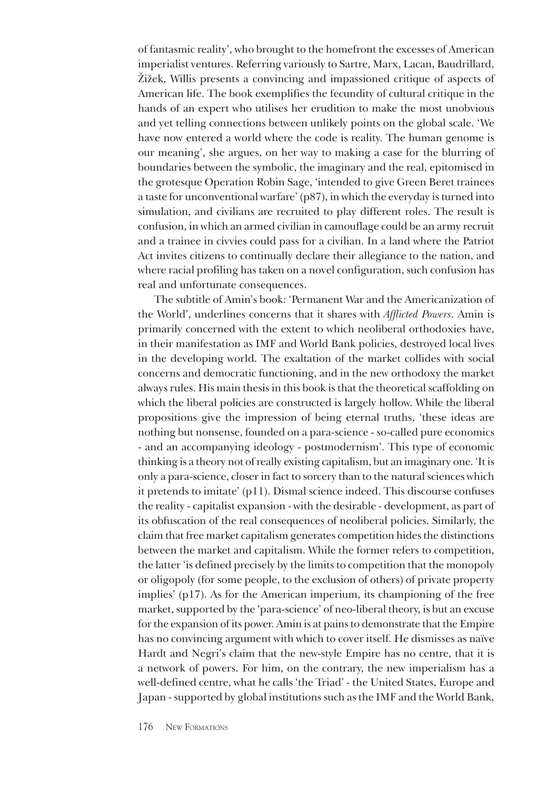of fantasmic reality', who brought to the homefront the excesses of American imperialist ventures. Referring variously to Sartre, Marx, Lacan, Baudrillard, Žižek, Willis presents a convincing and impassioned critique of aspects of American life. The book exemplifies the fecundity of cultural critique in the hands of an expert who utilises her erudition to make the most unobvious and yet telling connections between unlikely points on the global scale. 'We have now entered a world where the code is reality. The human genome is our meaning', she argues, on her way to making a case for the blurring of boundaries between the symbolic, the imaginary and the real, epitomised in the grotesque Operation Robin Sage, 'intended to give Green Beret trainees a taste for unconventional warfare' (p87), in which the everyday is turned into simulation, and civilians are recruited to play different roles. The result is confusion, in which an armed civilian in camouflage could be an army recruit and a trainee in civvies could pass for a civilian. In a land where the Patriot Act invites citizens to continually declare their allegiance to the nation, and where racial profiling has taken on a novel configuration, such confusion has real and unfortunate consequences.

The subtitle of Amin's book: 'Permanent War and the Americanization of the World', underlines concerns that it shares with *Afflicted Powers*. Amin is primarily concerned with the extent to which neoliberal orthodoxies have, in their manifestation as IMF and World Bank policies, destroyed local lives in the developing world. The exaltation of the market collides with social concerns and democratic functioning, and in the new orthodoxy the market always rules. His main thesis in this book is that the theoretical scaffolding on which the liberal policies are constructed is largely hollow. While the liberal propositions give the impression of being eternal truths, 'these ideas are nothing but nonsense, founded on a para-science - so-called pure economics - and an accompanying ideology - postmodernism'. This type of economic thinking is a theory not of really existing capitalism, but an imaginary one. 'It is only a para-science, closer in fact to sorcery than to the natural sciences which it pretends to imitate' (p11). Dismal science indeed. This discourse confuses the reality - capitalist expansion - with the desirable - development, as part of its obfuscation of the real consequences of neoliberal policies. Similarly, the claim that free market capitalism generates competition hides the distinctions between the market and capitalism. While the former refers to competition, the latter 'is defined precisely by the limits to competition that the monopoly or oligopoly (for some people, to the exclusion of others) of private property implies' (p17). As for the American imperium, its championing of the free market, supported by the 'para-science' of neo-liberal theory, is but an excuse for the expansion of its power. Amin is at pains to demonstrate that the Empire has no convincing argument with which to cover itself. He dismisses as naïve Hardt and Negri's claim that the new-style Empire has no centre, that it is a network of powers. For him, on the contrary, the new imperialism has a well-defined centre, what he calls 'the Triad' - the United States, Europe and Japan - supported by global institutions such as the IMF and the World Bank,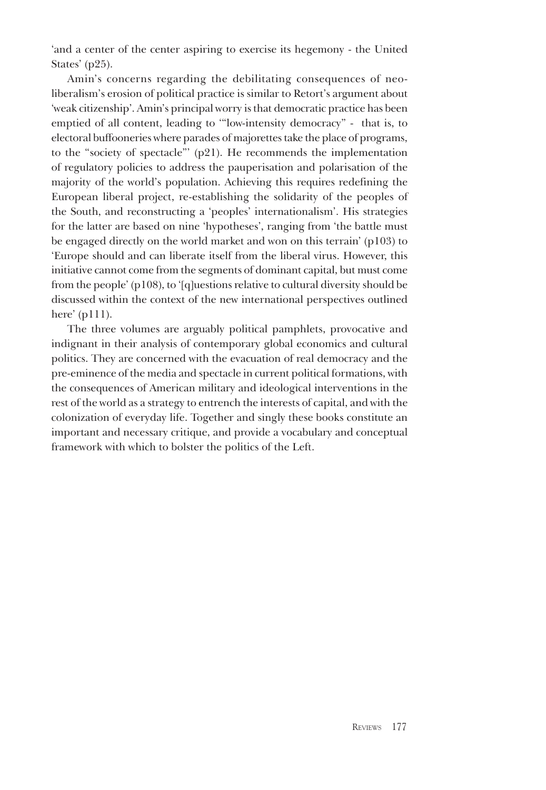'and a center of the center aspiring to exercise its hegemony - the United States' (p25).

Amin's concerns regarding the debilitating consequences of neoliberalism's erosion of political practice is similar to Retort's argument about 'weak citizenship'. Amin's principal worry is that democratic practice has been emptied of all content, leading to '"low-intensity democracy" - that is, to electoral buffooneries where parades of majorettes take the place of programs, to the "society of spectacle"' (p21). He recommends the implementation of regulatory policies to address the pauperisation and polarisation of the majority of the world's population. Achieving this requires redefining the European liberal project, re-establishing the solidarity of the peoples of the South, and reconstructing a 'peoples' internationalism'. His strategies for the latter are based on nine 'hypotheses', ranging from 'the battle must be engaged directly on the world market and won on this terrain' (p103) to 'Europe should and can liberate itself from the liberal virus. However, this initiative cannot come from the segments of dominant capital, but must come from the people' (p108), to '[q]uestions relative to cultural diversity should be discussed within the context of the new international perspectives outlined here' (p111).

The three volumes are arguably political pamphlets, provocative and indignant in their analysis of contemporary global economics and cultural politics. They are concerned with the evacuation of real democracy and the pre-eminence of the media and spectacle in current political formations, with the consequences of American military and ideological interventions in the rest of the world as a strategy to entrench the interests of capital, and with the colonization of everyday life. Together and singly these books constitute an important and necessary critique, and provide a vocabulary and conceptual framework with which to bolster the politics of the Left.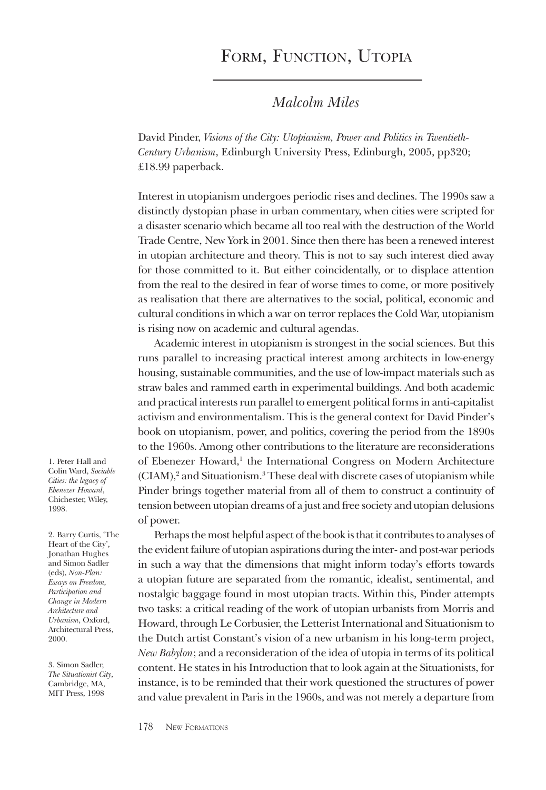## FORM, FUNCTION, UTOPIA

#### *Malcolm Miles*

David Pinder, *Visions of the City: Utopianism, Power and Politics in Twentieth-Century Urbanism*, Edinburgh University Press, Edinburgh, 2005, pp320; £18.99 paperback.

Interest in utopianism undergoes periodic rises and declines. The 1990s saw a distinctly dystopian phase in urban commentary, when cities were scripted for a disaster scenario which became all too real with the destruction of the World Trade Centre, New York in 2001. Since then there has been a renewed interest in utopian architecture and theory. This is not to say such interest died away for those committed to it. But either coincidentally, or to displace attention from the real to the desired in fear of worse times to come, or more positively as realisation that there are alternatives to the social, political, economic and cultural conditions in which a war on terror replaces the Cold War, utopianism is rising now on academic and cultural agendas.

Academic interest in utopianism is strongest in the social sciences. But this runs parallel to increasing practical interest among architects in low-energy housing, sustainable communities, and the use of low-impact materials such as straw bales and rammed earth in experimental buildings. And both academic and practical interests run parallel to emergent political forms in anti-capitalist activism and environmentalism. This is the general context for David Pinder's book on utopianism, power, and politics, covering the period from the 1890s to the 1960s. Among other contributions to the literature are reconsiderations of Ebenezer Howard,<sup>1</sup> the International Congress on Modern Architecture (CIAM),<sup>2</sup> and Situationism.<sup>3</sup> These deal with discrete cases of utopianism while Pinder brings together material from all of them to construct a continuity of tension between utopian dreams of a just and free society and utopian delusions of power.

Perhaps the most helpful aspect of the book is that it contributes to analyses of the evident failure of utopian aspirations during the inter- and post-war periods in such a way that the dimensions that might inform today's efforts towards a utopian future are separated from the romantic, idealist, sentimental, and nostalgic baggage found in most utopian tracts. Within this, Pinder attempts two tasks: a critical reading of the work of utopian urbanists from Morris and Howard, through Le Corbusier, the Letterist International and Situationism to the Dutch artist Constant's vision of a new urbanism in his long-term project, *New Babylon*; and a reconsideration of the idea of utopia in terms of its political content. He states in his Introduction that to look again at the Situationists, for instance, is to be reminded that their work questioned the structures of power and value prevalent in Paris in the 1960s, and was not merely a departure from

1. Peter Hall and Colin Ward, *Sociable Cities: the legacy of Ebenezer Howard*, Chichester, Wiley, 1998.

2. Barry Curtis, 'The Heart of the City', Jonathan Hughes and Simon Sadler (eds), *Non-Plan: Essays on Freedom, Participation and Change in Modern Architecture and Urbanism*, Oxford, Architectural Press, 2000.

3. Simon Sadler, *The Situationist City*, Cambridge, MA, MIT Press<sub>1998</sub>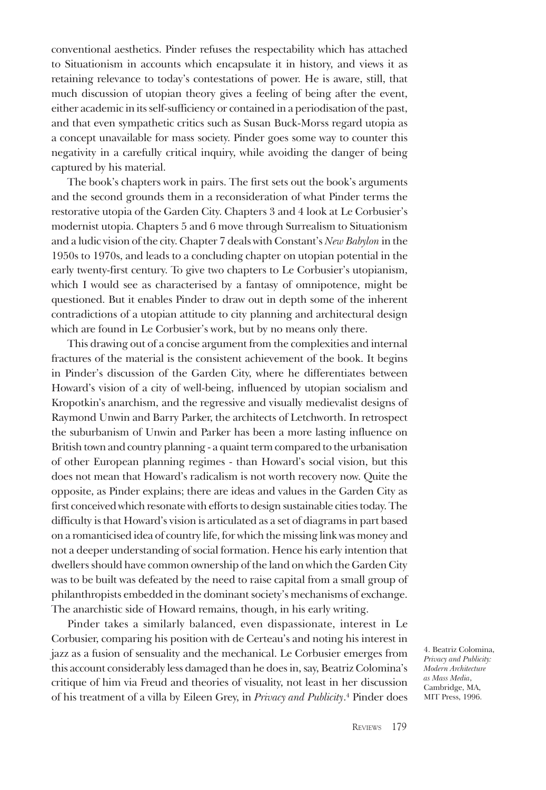conventional aesthetics. Pinder refuses the respectability which has attached to Situationism in accounts which encapsulate it in history, and views it as retaining relevance to today's contestations of power. He is aware, still, that much discussion of utopian theory gives a feeling of being after the event, either academic in its self-sufficiency or contained in a periodisation of the past, and that even sympathetic critics such as Susan Buck-Morss regard utopia as a concept unavailable for mass society. Pinder goes some way to counter this negativity in a carefully critical inquiry, while avoiding the danger of being captured by his material.

The book's chapters work in pairs. The first sets out the book's arguments and the second grounds them in a reconsideration of what Pinder terms the restorative utopia of the Garden City. Chapters 3 and 4 look at Le Corbusier's modernist utopia. Chapters 5 and 6 move through Surrealism to Situationism and a ludic vision of the city. Chapter 7 deals with Constant's *New Babylon* in the 1950s to 1970s, and leads to a concluding chapter on utopian potential in the early twenty-first century. To give two chapters to Le Corbusier's utopianism, which I would see as characterised by a fantasy of omnipotence, might be questioned. But it enables Pinder to draw out in depth some of the inherent contradictions of a utopian attitude to city planning and architectural design which are found in Le Corbusier's work, but by no means only there.

This drawing out of a concise argument from the complexities and internal fractures of the material is the consistent achievement of the book. It begins in Pinder's discussion of the Garden City, where he differentiates between Howard's vision of a city of well-being, influenced by utopian socialism and Kropotkin's anarchism, and the regressive and visually medievalist designs of Raymond Unwin and Barry Parker, the architects of Letchworth. In retrospect the suburbanism of Unwin and Parker has been a more lasting influence on British town and country planning - a quaint term compared to the urbanisation of other European planning regimes - than Howard's social vision, but this does not mean that Howard's radicalism is not worth recovery now. Quite the opposite, as Pinder explains; there are ideas and values in the Garden City as first conceived which resonate with efforts to design sustainable cities today. The difficulty is that Howard's vision is articulated as a set of diagrams in part based on a romanticised idea of country life, for which the missing link was money and not a deeper understanding of social formation. Hence his early intention that dwellers should have common ownership of the land on which the Garden City was to be built was defeated by the need to raise capital from a small group of philanthropists embedded in the dominant society's mechanisms of exchange. The anarchistic side of Howard remains, though, in his early writing.

Pinder takes a similarly balanced, even dispassionate, interest in Le Corbusier, comparing his position with de Certeau's and noting his interest in jazz as a fusion of sensuality and the mechanical. Le Corbusier emerges from this account considerably less damaged than he does in, say, Beatriz Colomina's critique of him via Freud and theories of visuality, not least in her discussion of his treatment of a villa by Eileen Grey, in *Privacy and Publicity*. 4 Pinder does

4. Beatriz Colomina, *Privacy and Publicity: Modern Architecture as Mass Media*, Cambridge, MA, MIT Press, 1996.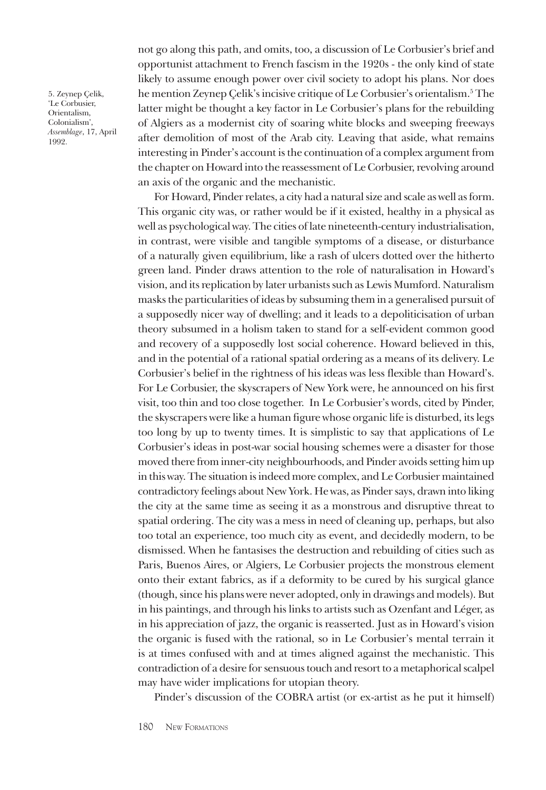5. Zeynep Çelik, 'Le Corbusier, Orientalism, Colonialism', *Assemblage*, 17, April 1992.

not go along this path, and omits, too, a discussion of Le Corbusier's brief and opportunist attachment to French fascism in the 1920s - the only kind of state likely to assume enough power over civil society to adopt his plans. Nor does he mention Zeynep Çelik's incisive critique of Le Corbusier's orientalism.5 The latter might be thought a key factor in Le Corbusier's plans for the rebuilding of Algiers as a modernist city of soaring white blocks and sweeping freeways after demolition of most of the Arab city. Leaving that aside, what remains interesting in Pinder's account is the continuation of a complex argument from the chapter on Howard into the reassessment of Le Corbusier, revolving around an axis of the organic and the mechanistic.

For Howard, Pinder relates, a city had a natural size and scale as well as form. This organic city was, or rather would be if it existed, healthy in a physical as well as psychological way. The cities of late nineteenth-century industrialisation, in contrast, were visible and tangible symptoms of a disease, or disturbance of a naturally given equilibrium, like a rash of ulcers dotted over the hitherto green land. Pinder draws attention to the role of naturalisation in Howard's vision, and its replication by later urbanists such as Lewis Mumford. Naturalism masks the particularities of ideas by subsuming them in a generalised pursuit of a supposedly nicer way of dwelling; and it leads to a depoliticisation of urban theory subsumed in a holism taken to stand for a self-evident common good and recovery of a supposedly lost social coherence. Howard believed in this, and in the potential of a rational spatial ordering as a means of its delivery. Le Corbusier's belief in the rightness of his ideas was less flexible than Howard's. For Le Corbusier, the skyscrapers of New York were, he announced on his first visit, too thin and too close together. In Le Corbusier's words, cited by Pinder, the skyscrapers were like a human figure whose organic life is disturbed, its legs too long by up to twenty times. It is simplistic to say that applications of Le Corbusier's ideas in post-war social housing schemes were a disaster for those moved there from inner-city neighbourhoods, and Pinder avoids setting him up in this way. The situation is indeed more complex, and Le Corbusier maintained contradictory feelings about New York. He was, as Pinder says, drawn into liking the city at the same time as seeing it as a monstrous and disruptive threat to spatial ordering. The city was a mess in need of cleaning up, perhaps, but also too total an experience, too much city as event, and decidedly modern, to be dismissed. When he fantasises the destruction and rebuilding of cities such as Paris, Buenos Aires, or Algiers, Le Corbusier projects the monstrous element onto their extant fabrics, as if a deformity to be cured by his surgical glance (though, since his plans were never adopted, only in drawings and models). But in his paintings, and through his links to artists such as Ozenfant and Léger, as in his appreciation of jazz, the organic is reasserted. Just as in Howard's vision the organic is fused with the rational, so in Le Corbusier's mental terrain it is at times confused with and at times aligned against the mechanistic. This contradiction of a desire for sensuous touch and resort to a metaphorical scalpel may have wider implications for utopian theory.

Pinder's discussion of the COBRA artist (or ex-artist as he put it himself)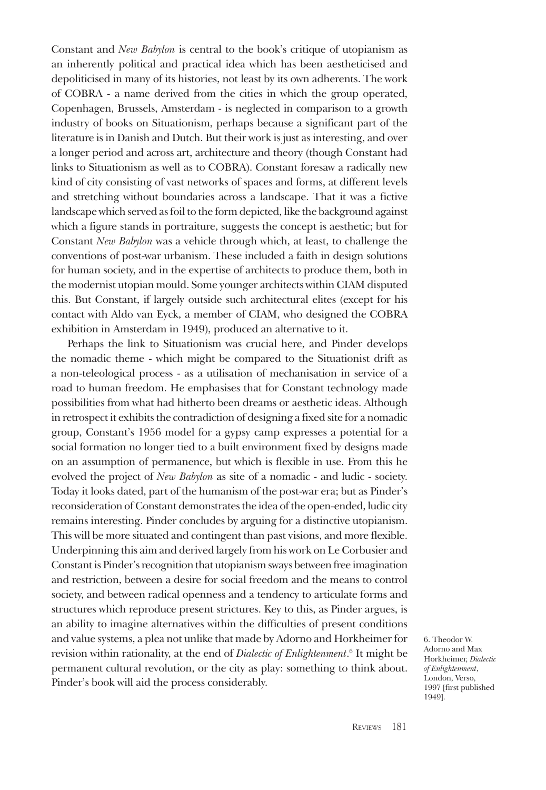Constant and *New Babylon* is central to the book's critique of utopianism as an inherently political and practical idea which has been aestheticised and depoliticised in many of its histories, not least by its own adherents. The work of COBRA - a name derived from the cities in which the group operated, Copenhagen, Brussels, Amsterdam - is neglected in comparison to a growth industry of books on Situationism, perhaps because a significant part of the literature is in Danish and Dutch. But their work is just as interesting, and over a longer period and across art, architecture and theory (though Constant had links to Situationism as well as to COBRA). Constant foresaw a radically new kind of city consisting of vast networks of spaces and forms, at different levels and stretching without boundaries across a landscape. That it was a fictive landscape which served as foil to the form depicted, like the background against which a figure stands in portraiture, suggests the concept is aesthetic; but for Constant *New Babylon* was a vehicle through which, at least, to challenge the conventions of post-war urbanism. These included a faith in design solutions for human society, and in the expertise of architects to produce them, both in the modernist utopian mould. Some younger architects within CIAM disputed this. But Constant, if largely outside such architectural elites (except for his contact with Aldo van Eyck, a member of CIAM, who designed the COBRA exhibition in Amsterdam in 1949), produced an alternative to it.

Perhaps the link to Situationism was crucial here, and Pinder develops the nomadic theme - which might be compared to the Situationist drift as a non-teleological process - as a utilisation of mechanisation in service of a road to human freedom. He emphasises that for Constant technology made possibilities from what had hitherto been dreams or aesthetic ideas. Although in retrospect it exhibits the contradiction of designing a fixed site for a nomadic group, Constant's 1956 model for a gypsy camp expresses a potential for a social formation no longer tied to a built environment fixed by designs made on an assumption of permanence, but which is flexible in use. From this he evolved the project of *New Babylon* as site of a nomadic - and ludic - society. Today it looks dated, part of the humanism of the post-war era; but as Pinder's reconsideration of Constant demonstrates the idea of the open-ended, ludic city remains interesting. Pinder concludes by arguing for a distinctive utopianism. This will be more situated and contingent than past visions, and more flexible. Underpinning this aim and derived largely from his work on Le Corbusier and Constant is Pinder's recognition that utopianism sways between free imagination and restriction, between a desire for social freedom and the means to control society, and between radical openness and a tendency to articulate forms and structures which reproduce present strictures. Key to this, as Pinder argues, is an ability to imagine alternatives within the difficulties of present conditions and value systems, a plea not unlike that made by Adorno and Horkheimer for revision within rationality, at the end of *Dialectic of Enlightenment*.<sup>6</sup> It might be permanent cultural revolution, or the city as play: something to think about. Pinder's book will aid the process considerably.

6. Theodor W. Adorno and Max Horkheimer, *Dialectic of Enlightenment*, London, Verso, 1997 [first published 1949].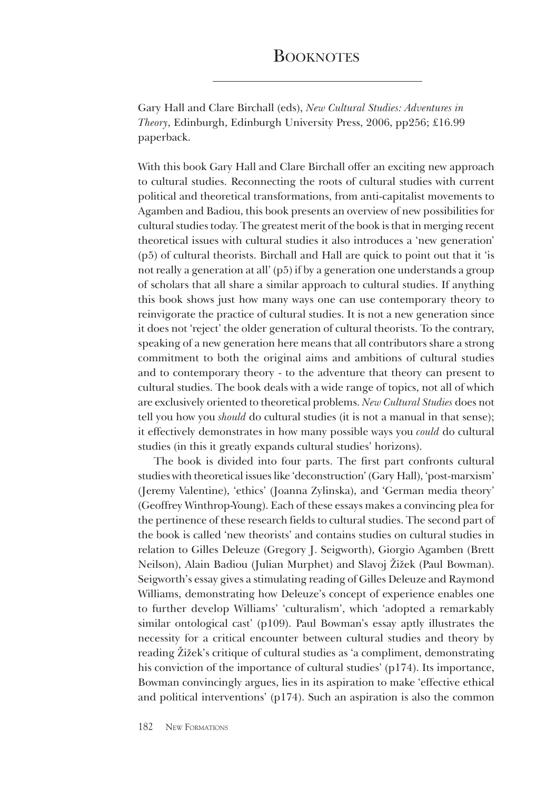## **BOOKNOTES**

Gary Hall and Clare Birchall (eds), *New Cultural Studies: Adventures in Theory*, Edinburgh, Edinburgh University Press, 2006, pp256; £16.99 paperback.

With this book Gary Hall and Clare Birchall offer an exciting new approach to cultural studies. Reconnecting the roots of cultural studies with current political and theoretical transformations, from anti-capitalist movements to Agamben and Badiou, this book presents an overview of new possibilities for cultural studies today. The greatest merit of the book is that in merging recent theoretical issues with cultural studies it also introduces a 'new generation' (p5) of cultural theorists. Birchall and Hall are quick to point out that it 'is not really a generation at all' (p5) if by a generation one understands a group of scholars that all share a similar approach to cultural studies. If anything this book shows just how many ways one can use contemporary theory to reinvigorate the practice of cultural studies. It is not a new generation since it does not 'reject' the older generation of cultural theorists. To the contrary, speaking of a new generation here means that all contributors share a strong commitment to both the original aims and ambitions of cultural studies and to contemporary theory - to the adventure that theory can present to cultural studies. The book deals with a wide range of topics, not all of which are exclusively oriented to theoretical problems. *New Cultural Studies* does not tell you how you *should* do cultural studies (it is not a manual in that sense); it effectively demonstrates in how many possible ways you *could* do cultural studies (in this it greatly expands cultural studies' horizons).

The book is divided into four parts. The first part confronts cultural studies with theoretical issues like 'deconstruction' (Gary Hall), 'post-marxism' (Jeremy Valentine), 'ethics' (Joanna Zylinska), and 'German media theory' (Geoffrey Winthrop-Young). Each of these essays makes a convincing plea for the pertinence of these research fields to cultural studies. The second part of the book is called 'new theorists' and contains studies on cultural studies in relation to Gilles Deleuze (Gregory J. Seigworth), Giorgio Agamben (Brett Neilson), Alain Badiou (Julian Murphet) and Slavoj Žižek (Paul Bowman). Seigworth's essay gives a stimulating reading of Gilles Deleuze and Raymond Williams, demonstrating how Deleuze's concept of experience enables one to further develop Williams' 'culturalism', which 'adopted a remarkably similar ontological cast' (p109). Paul Bowman's essay aptly illustrates the necessity for a critical encounter between cultural studies and theory by reading Žižek's critique of cultural studies as 'a compliment, demonstrating his conviction of the importance of cultural studies' (p174). Its importance, Bowman convincingly argues, lies in its aspiration to make 'effective ethical and political interventions' (p174). Such an aspiration is also the common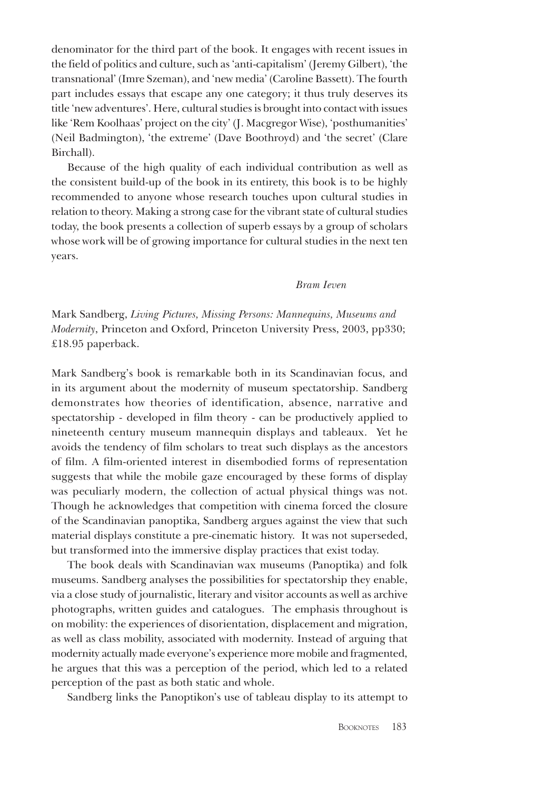denominator for the third part of the book. It engages with recent issues in the field of politics and culture, such as 'anti-capitalism' (Jeremy Gilbert), 'the transnational' (Imre Szeman), and 'new media' (Caroline Bassett). The fourth part includes essays that escape any one category; it thus truly deserves its title 'new adventures'. Here, cultural studies is brought into contact with issues like 'Rem Koolhaas' project on the city' (J. Macgregor Wise), 'posthumanities' (Neil Badmington), 'the extreme' (Dave Boothroyd) and 'the secret' (Clare Birchall).

Because of the high quality of each individual contribution as well as the consistent build-up of the book in its entirety, this book is to be highly recommended to anyone whose research touches upon cultural studies in relation to theory. Making a strong case for the vibrant state of cultural studies today, the book presents a collection of superb essays by a group of scholars whose work will be of growing importance for cultural studies in the next ten years.

#### *Bram Ieven*

Mark Sandberg, *Living Pictures, Missing Persons: Mannequins, Museums and Modernity*, Princeton and Oxford, Princeton University Press, 2003, pp330; £18.95 paperback.

Mark Sandberg's book is remarkable both in its Scandinavian focus, and in its argument about the modernity of museum spectatorship. Sandberg demonstrates how theories of identification, absence, narrative and spectatorship - developed in film theory - can be productively applied to nineteenth century museum mannequin displays and tableaux. Yet he avoids the tendency of film scholars to treat such displays as the ancestors of film. A film-oriented interest in disembodied forms of representation suggests that while the mobile gaze encouraged by these forms of display was peculiarly modern, the collection of actual physical things was not. Though he acknowledges that competition with cinema forced the closure of the Scandinavian panoptika, Sandberg argues against the view that such material displays constitute a pre-cinematic history. It was not superseded, but transformed into the immersive display practices that exist today.

The book deals with Scandinavian wax museums (Panoptika) and folk museums. Sandberg analyses the possibilities for spectatorship they enable, via a close study of journalistic, literary and visitor accounts as well as archive photographs, written guides and catalogues. The emphasis throughout is on mobility: the experiences of disorientation, displacement and migration, as well as class mobility, associated with modernity. Instead of arguing that modernity actually made everyone's experience more mobile and fragmented, he argues that this was a perception of the period, which led to a related perception of the past as both static and whole.

Sandberg links the Panoptikon's use of tableau display to its attempt to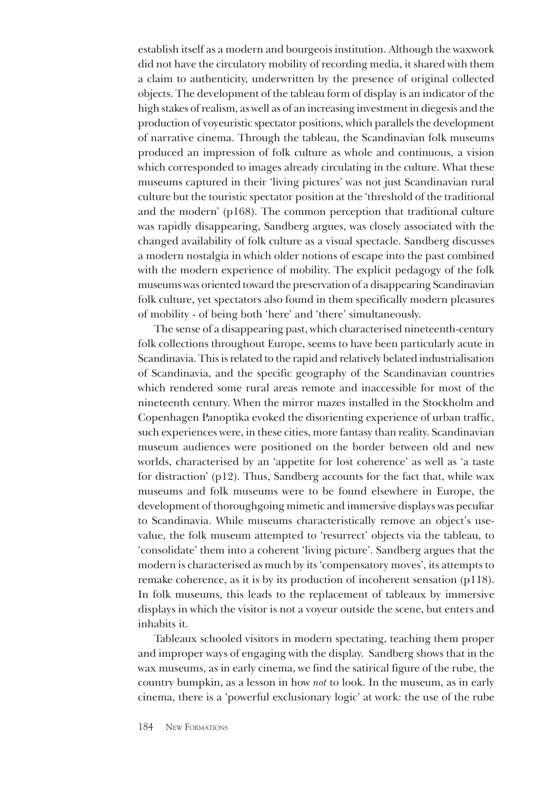establish itself as a modern and bourgeois institution. Although the waxwork did not have the circulatory mobility of recording media, it shared with them a claim to authenticity, underwritten by the presence of original collected objects. The development of the tableau form of display is an indicator of the high stakes of realism, as well as of an increasing investment in diegesis and the production of voyeuristic spectator positions, which parallels the development of narrative cinema. Through the tableau, the Scandinavian folk museums produced an impression of folk culture as whole and continuous, a vision which corresponded to images already circulating in the culture. What these museums captured in their 'living pictures' was not just Scandinavian rural culture but the touristic spectator position at the 'threshold of the traditional and the modern' (p168). The common perception that traditional culture was rapidly disappearing, Sandberg argues, was closely associated with the changed availability of folk culture as a visual spectacle. Sandberg discusses a modern nostalgia in which older notions of escape into the past combined with the modern experience of mobility. The explicit pedagogy of the folk museums was oriented toward the preservation of a disappearing Scandinavian folk culture, yet spectators also found in them specifically modern pleasures of mobility - of being both 'here' and 'there' simultaneously.

The sense of a disappearing past, which characterised nineteenth-century folk collections throughout Europe, seems to have been particularly acute in Scandinavia. This is related to the rapid and relatively belated industrialisation of Scandinavia, and the specific geography of the Scandinavian countries which rendered some rural areas remote and inaccessible for most of the nineteenth century. When the mirror mazes installed in the Stockholm and Copenhagen Panoptika evoked the disorienting experience of urban traffic, such experiences were, in these cities, more fantasy than reality. Scandinavian museum audiences were positioned on the border between old and new worlds, characterised by an 'appetite for lost coherence' as well as 'a taste for distraction' (p12). Thus, Sandberg accounts for the fact that, while wax museums and folk museums were to be found elsewhere in Europe, the development of thoroughgoing mimetic and immersive displays was peculiar to Scandinavia. While museums characteristically remove an object's usevalue, the folk museum attempted to 'resurrect' objects via the tableau, to 'consolidate' them into a coherent 'living picture'. Sandberg argues that the modern is characterised as much by its 'compensatory moves', its attempts to remake coherence, as it is by its production of incoherent sensation (p118). In folk museums, this leads to the replacement of tableaux by immersive displays in which the visitor is not a voyeur outside the scene, but enters and inhabits it.

Tableaux schooled visitors in modern spectating, teaching them proper and improper ways of engaging with the display. Sandberg shows that in the wax museums, as in early cinema, we find the satirical figure of the rube, the country bumpkin, as a lesson in how *not* to look. In the museum, as in early cinema, there is a 'powerful exclusionary logic' at work: the use of the rube